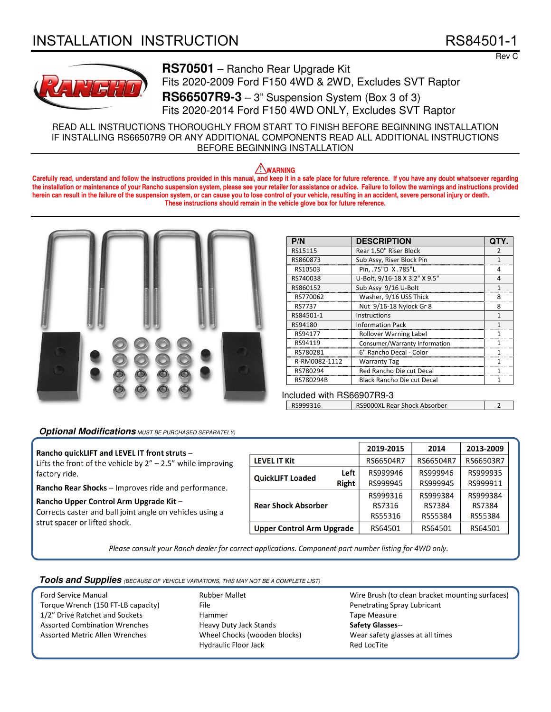# INSTALLATION INSTRUCTION RS84501-1

Rev C



**RS70501** – Rancho Rear Upgrade Kit Fits 2020-2009 Ford F150 4WD & 2WD, Excludes SVT Raptor **RS66507R9-3** – 3" Suspension System (Box 3 of 3) Fits 2020-2014 Ford F150 4WD ONLY, Excludes SVT Raptor

READ ALL INSTRUCTIONS THOROUGHLY FROM START TO FINISH BEFORE BEGINNING INSTALLATION IF INSTALLING RS66507R9 OR ANY ADDITIONAL COMPONENTS READ ALL ADDITIONAL INSTRUCTIONS BEFORE BEGINNING INSTALLATION

# **WARNING**

**Carefully read, understand and follow the instructions provided in this manual, and keep it in a safe place for future reference. If you have any doubt whatsoever regarding the installation or maintenance of your Rancho suspension system, please see your retailer for assistance or advice. Failure to follow the warnings and instructions provided herein can result in the failure of the suspension system, or can cause you to lose control of your vehicle, resulting in an accident, severe personal injury or death. These instructions should remain in the vehicle glove box for future reference.** 



| P/N           | <b>DESCRIPTION</b>                |   |
|---------------|-----------------------------------|---|
| RS15115       | Rear 1.50" Riser Block            |   |
| RS860873      | Sub Assy, Riser Block Pin         |   |
| RS10503       | Pin, .75"D X.785"L                | 4 |
| RS740038      | U-Bolt, 9/16-18 X 3.2" X 9.5"     |   |
| RS860152      | Sub Assy 9/16 U-Bolt              |   |
| RS770062      | Washer, 9/16 USS Thick            |   |
| RS7737        | Nut 9/16-18 Nylock Gr 8           | 8 |
| RS84501-1     | Instructions                      |   |
| RS94180       | <b>Information Pack</b>           |   |
| RS94177       | <b>Rollover Warning Label</b>     |   |
| RS94119       | Consumer/Warranty Information     |   |
| RS780281      | 6" Rancho Decal - Color           |   |
| R-RM0082-1112 | <b>Warranty Tag</b>               |   |
| RS780294      | Red Rancho Die cut Decal          |   |
| RS780294B     | <b>Black Rancho Die cut Decal</b> |   |

Included with RS66907R9-3

RS999316 | RS9000XL Rear Shock Absorber | 2

# **Optional Modifications** MUST BE PURCHASED SEPARATELY)

# **Rancho quickLIFT and LEVEL IT front struts** –

Lifts the front of the vehicle by  $2'' - 2.5''$  while improving factory ride.

**Rancho Rear Shocks** – Improves ride and performance.

### **Rancho Upper Control Arm Upgrade Kit** –

Corrects caster and ball joint angle on vehicles using a strut spacer or lifted shock.

|                                  |              | 2019-2015 | 2014      | 2013-2009 |  |
|----------------------------------|--------------|-----------|-----------|-----------|--|
| <b>LEVEL IT Kit</b>              |              | RS66504R7 | RS66504R7 | RS66503R7 |  |
| <b>QuickLIFT Loaded</b>          | Left         | RS999946  | RS999946  | RS999935  |  |
|                                  | <b>Right</b> | RS999945  | RS999945  | RS999911  |  |
| <b>Rear Shock Absorber</b>       |              | RS999316  | RS999384  | RS999384  |  |
|                                  |              | RS7316    | RS7384    | RS7384    |  |
|                                  |              | RS55316   | RS55384   | RS55384   |  |
| <b>Upper Control Arm Upgrade</b> |              | RS64501   | RS64501   | RS64501   |  |

*Please consult your Ranch dealer for correct applications. Component part number listing for 4WD only.*

**Tools and Supplies** (BECAUSE OF VEHICLE VARIATIONS, THIS MAY NOT BE A COMPLETE LIST)

Ford Service Manual Torque Wrench (150 FT-LB capacity) 1/2" Drive Ratchet and Sockets Assorted Combination Wrenches Assorted Metric Allen Wrenches

Rubber Mallet File Hammer Heavy Duty Jack Stands Wheel Chocks (wooden blocks) Hydraulic Floor Jack

Wire Brush (to clean bracket mounting surfaces) Penetrating Spray Lubricant Tape Measure **Safety Glasses**-- Wear safety glasses at all times Red LocTite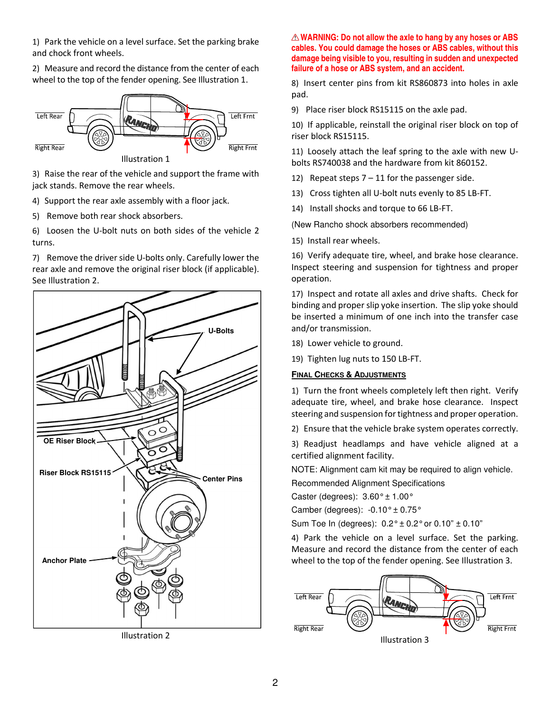1) Park the vehicle on a level surface. Set the parking brake and chock front wheels.

2) Measure and record the distance from the center of each wheel to the top of the fender opening. See Illustration 1.



3) Raise the rear of the vehicle and support the frame with jack stands. Remove the rear wheels.

4) Support the rear axle assembly with a floor jack.

5) Remove both rear shock absorbers.

6) Loosen the U-bolt nuts on both sides of the vehicle 2 turns.

7) Remove the driver side U-bolts only. Carefully lower the rear axle and remove the original riser block (if applicable). See Illustration 2.



Illustration 2

# **WARNING: Do not allow the axle to hang by any hoses or ABS cables. You could damage the hoses or ABS cables, without this damage being visible to you, resulting in sudden and unexpected failure of a hose or ABS system, and an accident.**

8) Insert center pins from kit RS860873 into holes in axle pad.

9) Place riser block RS15115 on the axle pad.

10) If applicable, reinstall the original riser block on top of riser block RS15115.

11) Loosely attach the leaf spring to the axle with new Ubolts RS740038 and the hardware from kit 860152.

- 12) Repeat steps  $7 11$  for the passenger side.
- 13) Cross tighten all U-bolt nuts evenly to 85 LB-FT.
- 14) Install shocks and torque to 66 LB-FT.

(New Rancho shock absorbers recommended)

15) Install rear wheels.

16) Verify adequate tire, wheel, and brake hose clearance. Inspect steering and suspension for tightness and proper operation.

17) Inspect and rotate all axles and drive shafts. Check for binding and proper slip yoke insertion. The slip yoke should be inserted a minimum of one inch into the transfer case and/or transmission.

- 18) Lower vehicle to ground.
- 19) Tighten lug nuts to 150 LB-FT.

# **FINAL CHECKS & ADJUSTMENTS**

1) Turn the front wheels completely left then right. Verify adequate tire, wheel, and brake hose clearance. Inspect steering and suspension for tightness and proper operation.

2) Ensure that the vehicle brake system operates correctly.

3) Readjust headlamps and have vehicle aligned at a certified alignment facility.

NOTE: Alignment cam kit may be required to align vehicle.

Recommended Alignment Specifications

Caster (degrees):  $3.60^{\circ} \pm 1.00^{\circ}$ 

Camber (degrees):  $-0.10^{\circ} \pm 0.75^{\circ}$ 

Sum Toe In (degrees):  $0.2^{\circ} \pm 0.2^{\circ}$  or  $0.10" \pm 0.10"$ 

4) Park the vehicle on a level surface. Set the parking. Measure and record the distance from the center of each wheel to the top of the fender opening. See Illustration 3.

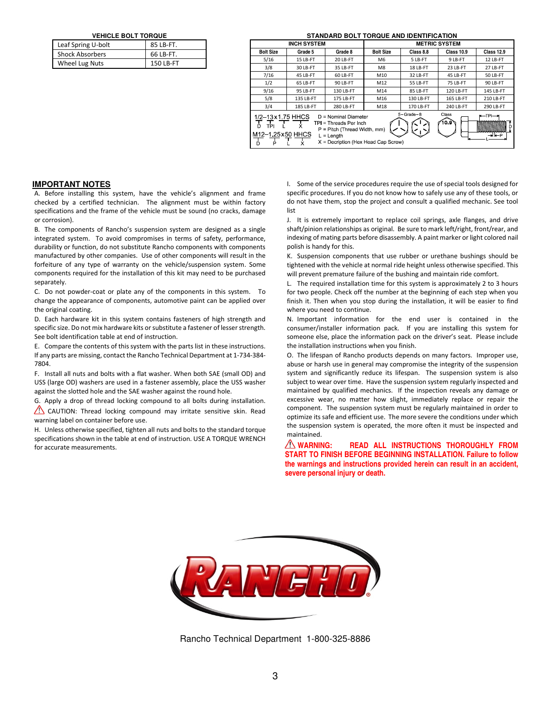**VEHICLE BOLT TORQUE** 

| Leaf Spring U-bolt     | 85 LB-FT. |  |  |  |
|------------------------|-----------|--|--|--|
| <b>Shock Absorbers</b> | 66 LB-FT. |  |  |  |
| Wheel Lug Nuts         | 150 LB-FT |  |  |  |

#### **STANDARD BOLT TORQUE AND IDENTIFICATION**

| <b>INCH SYSTEM</b>                                                                                                                                                                                                                                                                                                     |           |           | <b>METRIC SYSTEM</b> |           |                   |                   |  |
|------------------------------------------------------------------------------------------------------------------------------------------------------------------------------------------------------------------------------------------------------------------------------------------------------------------------|-----------|-----------|----------------------|-----------|-------------------|-------------------|--|
| <b>Bolt Size</b>                                                                                                                                                                                                                                                                                                       | Grade 5   | Grade 8   | <b>Bolt Size</b>     | Class 8.8 | <b>Class 10.9</b> | <b>Class 12.9</b> |  |
| 5/16                                                                                                                                                                                                                                                                                                                   | 15 LB-FT  | 20 LB-FT  | M <sub>6</sub>       | 5 LB-FT   | 9 LB-FT           | 12 LB-FT          |  |
| 3/8                                                                                                                                                                                                                                                                                                                    | 30 LB-FT  | 35 LB-FT  | M8                   | 18 LB-FT  | 23 LB-FT          | 27 LB-FT          |  |
| 7/16                                                                                                                                                                                                                                                                                                                   | 45 LB-FT  | 60 LB-FT  | M10                  | 32 LB-FT  | 45 LB-FT          | 50 LB-FT          |  |
| 1/2                                                                                                                                                                                                                                                                                                                    | 65 LB-FT  | 90 LB-FT  | M12                  | 55 LB-FT  | 75 LB-FT          | 90 LB-FT          |  |
| 9/16                                                                                                                                                                                                                                                                                                                   | 95 LB-FT  | 130 LB-FT | M14                  | 85 LB-FT  | 120 LB-FT         | 145 LB-FT         |  |
| 5/8                                                                                                                                                                                                                                                                                                                    | 135 LB-FT | 175 LB-FT | M16                  | 130 LB-FT | 165 LB-FT         | 210 LB-FT         |  |
| 3/4                                                                                                                                                                                                                                                                                                                    | 185 LB-FT | 280 LB-FT | M18                  | 170 LB-FT | 240 LB-FT         | 290 LB-FT         |  |
| $5 - Grade - 8$<br>Class<br>⊭—⊺PI— <del>ਮ</del><br>1/2-13x1 75 HHCS<br>$D =$ Nominal Diameter<br>10.9`<br>mmmmmmm<br>TPI = Threads Per Inch<br>TPL L<br>P<br>$P =$ Pitch (Thread Width, mm)<br>ասանանանանան<br>M <sub>12</sub> -1 25x50 HHCS<br>$L =$ Lenath<br>→lk—P<br>X = Decription (Hex Head Cap Screw)<br>P<br>D |           |           |                      |           |                   |                   |  |

## **IMPORTANT NOTES**

A. Before installing this system, have the vehicle's alignment and frame checked by a certified technician. The alignment must be within factory specifications and the frame of the vehicle must be sound (no cracks, damage or corrosion).

B. The components of Rancho's suspension system are designed as a single integrated system. To avoid compromises in terms of safety, performance, durability or function, do not substitute Rancho components with components manufactured by other companies. Use of other components will result in the forfeiture of any type of warranty on the vehicle/suspension system. Some components required for the installation of this kit may need to be purchased separately.

C. Do not powder-coat or plate any of the components in this system. To change the appearance of components, automotive paint can be applied over the original coating.

D. Each hardware kit in this system contains fasteners of high strength and specific size. Do not mix hardware kits or substitute a fastener of lesser strength. See bolt identification table at end of instruction.

E. Compare the contents of this system with the parts list in these instructions. If any parts are missing, contact the Rancho Technical Department at 1-734-384- 7804.

F. Install all nuts and bolts with a flat washer. When both SAE (small OD) and USS (large OD) washers are used in a fastener assembly, place the USS washer against the slotted hole and the SAE washer against the round hole.

G. Apply a drop of thread locking compound to all bolts during installation. CAUTION: Thread locking compound may irritate sensitive skin. Read warning label on container before use.

H. Unless otherwise specified, tighten all nuts and bolts to the standard torque specifications shown in the table at end of instruction. USE A TORQUE WRENCH for accurate measurements.

I. Some of the service procedures require the use of special tools designed for specific procedures. If you do not know how to safely use any of these tools, or do not have them, stop the project and consult a qualified mechanic. See tool list

J. It is extremely important to replace coil springs, axle flanges, and drive shaft/pinion relationships as original. Be sure to mark left/right, front/rear, and indexing of mating parts before disassembly. A paint marker or light colored nail polish is handy for this.

K. Suspension components that use rubber or urethane bushings should be tightened with the vehicle at normal ride height unless otherwise specified. This will prevent premature failure of the bushing and maintain ride comfort.

L. The required installation time for this system is approximately 2 to 3 hours for two people. Check off the number at the beginning of each step when you finish it. Then when you stop during the installation, it will be easier to find where you need to continue.

N. Important information for the end user is contained in the consumer/installer information pack. If you are installing this system for someone else, place the information pack on the driver's seat. Please include the installation instructions when you finish.

O. The lifespan of Rancho products depends on many factors. Improper use, abuse or harsh use in general may compromise the integrity of the suspension system and significantly reduce its lifespan. The suspension system is also subject to wear over time. Have the suspension system regularly inspected and maintained by qualified mechanics. If the inspection reveals any damage or excessive wear, no matter how slight, immediately replace or repair the component. The suspension system must be regularly maintained in order to optimize its safe and efficient use. The more severe the conditions under which the suspension system is operated, the more often it must be inspected and maintained.

 **WARNING: READ ALL INSTRUCTIONS THOROUGHLY FROM START TO FINISH BEFORE BEGINNING INSTALLATION. Failure to follow the warnings and instructions provided herein can result in an accident, severe personal injury or death.** 



Rancho Technical Department 1-800-325-8886